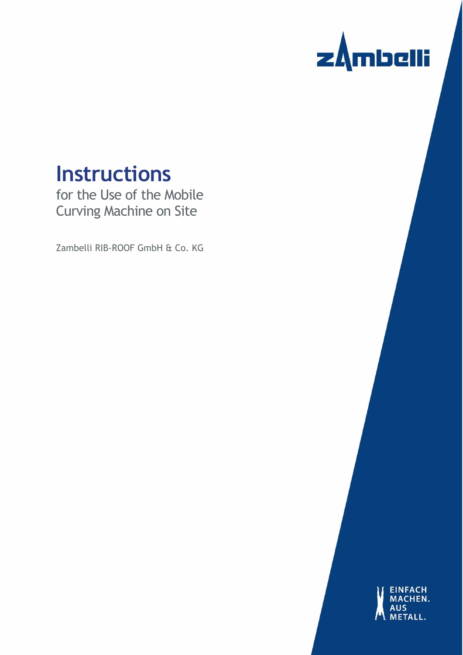

# **Instructions**

for the Use of the Mobile Curving Machine on Site

Zambelli RIB-ROOF GmbH & Co. KG

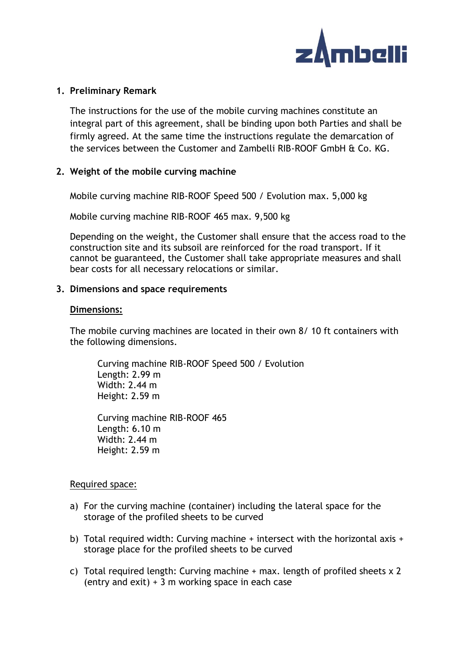

#### **1. Preliminary Remark**

The instructions for the use of the mobile curving machines constitute an integral part of this agreement, shall be binding upon both Parties and shall be firmly agreed. At the same time the instructions regulate the demarcation of the services between the Customer and Zambelli RIB-ROOF GmbH & Co. KG.

## **2. Weight of the mobile curving machine**

Mobile curving machine RIB-ROOF Speed 500 / Evolution max. 5,000 kg

Mobile curving machine RIB-ROOF 465 max. 9,500 kg

Depending on the weight, the Customer shall ensure that the access road to the construction site and its subsoil are reinforced for the road transport. If it cannot be guaranteed, the Customer shall take appropriate measures and shall bear costs for all necessary relocations or similar.

#### **3. Dimensions and space requirements**

#### **Dimensions:**

The mobile curving machines are located in their own 8/ 10 ft containers with the following dimensions.

Curving machine RIB-ROOF Speed 500 / Evolution Length: 2.99 m Width: 2.44 m Height: 2.59 m

Curving machine RIB-ROOF 465 Length: 6.10 m Width: 2.44 m Height: 2.59 m

#### Required space:

- a) For the curving machine (container) including the lateral space for the storage of the profiled sheets to be curved
- b) Total required width: Curving machine + intersect with the horizontal axis + storage place for the profiled sheets to be curved
- c) Total required length: Curving machine  $+$  max. length of profiled sheets  $\times$  2 (entry and exit) + 3 m working space in each case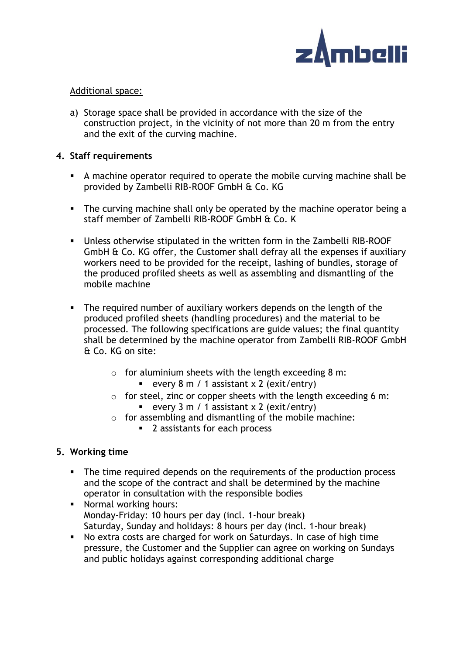

## Additional space:

a) Storage space shall be provided in accordance with the size of the construction project, in the vicinity of not more than 20 m from the entry and the exit of the curving machine.

## **4. Staff requirements**

- A machine operator required to operate the mobile curving machine shall be provided by Zambelli RIB-ROOF GmbH & Co. KG
- **EXECT** The curving machine shall only be operated by the machine operator being a staff member of Zambelli RIB-ROOF GmbH & Co. K
- Unless otherwise stipulated in the written form in the Zambelli RIB-ROOF GmbH & Co. KG offer, the Customer shall defray all the expenses if auxiliary workers need to be provided for the receipt, lashing of bundles, storage of the produced profiled sheets as well as assembling and dismantling of the mobile machine
- The required number of auxiliary workers depends on the length of the produced profiled sheets (handling procedures) and the material to be processed. The following specifications are guide values; the final quantity shall be determined by the machine operator from Zambelli RIB-ROOF GmbH & Co. KG on site:
	- $\circ$  for aluminium sheets with the length exceeding 8 m:
		- **every 8 m / 1 assistant x 2 (exit/entry)**
	- o for steel, zinc or copper sheets with the length exceeding 6 m: **•** every  $3 \text{ m}$  / 1 assistant  $x$  2 (exit/entry)
	- $\circ$  for assembling and dismantling of the mobile machine:
		- 2 assistants for each process

## **5. Working time**

- The time required depends on the requirements of the production process and the scope of the contract and shall be determined by the machine operator in consultation with the responsible bodies
- Normal working hours: Monday-Friday: 10 hours per day (incl. 1-hour break) Saturday, Sunday and holidays: 8 hours per day (incl. 1-hour break)
- No extra costs are charged for work on Saturdays. In case of high time pressure, the Customer and the Supplier can agree on working on Sundays and public holidays against corresponding additional charge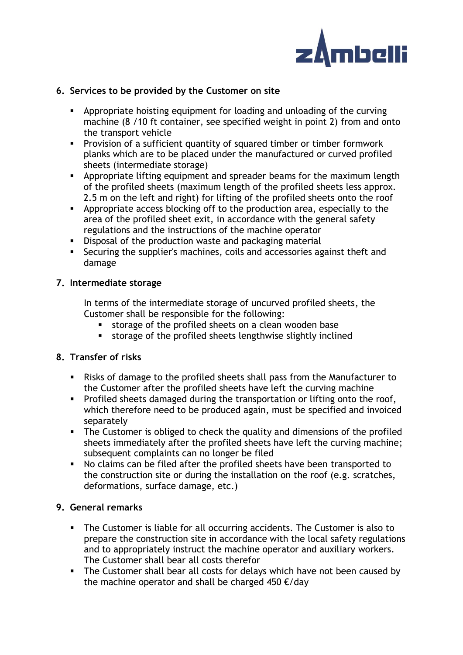

## **6. Services to be provided by the Customer on site**

- Appropriate hoisting equipment for loading and unloading of the curving machine (8 /10 ft container, see specified weight in point 2) from and onto the transport vehicle
- Provision of a sufficient quantity of squared timber or timber formwork planks which are to be placed under the manufactured or curved profiled sheets (intermediate storage)
- **EXP** Appropriate lifting equipment and spreader beams for the maximum length of the profiled sheets (maximum length of the profiled sheets less approx. 2.5 m on the left and right) for lifting of the profiled sheets onto the roof
- **EXEDENT** Appropriate access blocking off to the production area, especially to the area of the profiled sheet exit, in accordance with the general safety regulations and the instructions of the machine operator
- **•** Disposal of the production waste and packaging material
- **EXECUTE 15 Securing the supplier's machines, coils and accessories against theft and** damage

## **7. Intermediate storage**

In terms of the intermediate storage of uncurved profiled sheets, the Customer shall be responsible for the following:

- storage of the profiled sheets on a clean wooden base
- storage of the profiled sheets lengthwise slightly inclined

## **8. Transfer of risks**

- Risks of damage to the profiled sheets shall pass from the Manufacturer to the Customer after the profiled sheets have left the curving machine
- **•** Profiled sheets damaged during the transportation or lifting onto the roof, which therefore need to be produced again, must be specified and invoiced separately
- **•** The Customer is obliged to check the quality and dimensions of the profiled sheets immediately after the profiled sheets have left the curving machine; subsequent complaints can no longer be filed
- No claims can be filed after the profiled sheets have been transported to the construction site or during the installation on the roof (e.g. scratches, deformations, surface damage, etc.)

# **9. General remarks**

- **•** The Customer is liable for all occurring accidents. The Customer is also to prepare the construction site in accordance with the local safety regulations and to appropriately instruct the machine operator and auxiliary workers. The Customer shall bear all costs therefor
- **EXT** The Customer shall bear all costs for delays which have not been caused by the machine operator and shall be charged 450  $\epsilon$ /day